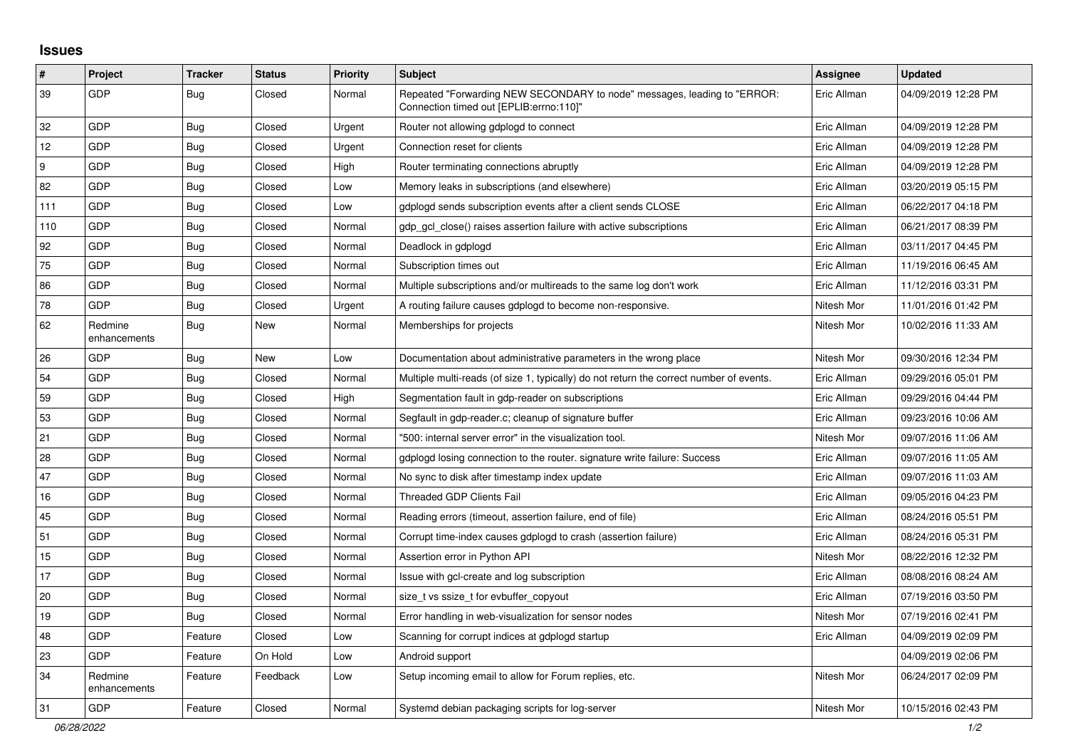## **Issues**

| $\vert$ # | Project                 | <b>Tracker</b> | <b>Status</b> | <b>Priority</b> | <b>Subject</b>                                                                                                      | Assignee    | <b>Updated</b>      |
|-----------|-------------------------|----------------|---------------|-----------------|---------------------------------------------------------------------------------------------------------------------|-------------|---------------------|
| 39        | GDP                     | <b>Bug</b>     | Closed        | Normal          | Repeated "Forwarding NEW SECONDARY to node" messages, leading to "ERROR:<br>"Connection timed out [EPLIB:errno:110] | Eric Allman | 04/09/2019 12:28 PM |
| 32        | GDP                     | <b>Bug</b>     | Closed        | Urgent          | Router not allowing gdplogd to connect                                                                              | Eric Allman | 04/09/2019 12:28 PM |
| 12        | GDP                     | Bug            | Closed        | Urgent          | Connection reset for clients                                                                                        | Eric Allman | 04/09/2019 12:28 PM |
| 9         | GDP                     | Bug            | Closed        | High            | Router terminating connections abruptly                                                                             | Eric Allman | 04/09/2019 12:28 PM |
| 82        | GDP                     | Bug            | Closed        | Low             | Memory leaks in subscriptions (and elsewhere)                                                                       | Eric Allman | 03/20/2019 05:15 PM |
| 111       | GDP                     | Bug            | Closed        | Low             | gdplogd sends subscription events after a client sends CLOSE                                                        | Eric Allman | 06/22/2017 04:18 PM |
| 110       | GDP                     | <b>Bug</b>     | Closed        | Normal          | gdp_gcl_close() raises assertion failure with active subscriptions                                                  | Eric Allman | 06/21/2017 08:39 PM |
| 92        | GDP                     | Bug            | Closed        | Normal          | Deadlock in gdplogd                                                                                                 | Eric Allman | 03/11/2017 04:45 PM |
| 75        | <b>GDP</b>              | Bug            | Closed        | Normal          | Subscription times out                                                                                              | Eric Allman | 11/19/2016 06:45 AM |
| 86        | GDP                     | <b>Bug</b>     | Closed        | Normal          | Multiple subscriptions and/or multireads to the same log don't work                                                 | Eric Allman | 11/12/2016 03:31 PM |
| 78        | <b>GDP</b>              | <b>Bug</b>     | Closed        | Urgent          | A routing failure causes gdplogd to become non-responsive.                                                          | Nitesh Mor  | 11/01/2016 01:42 PM |
| 62        | Redmine<br>enhancements | <b>Bug</b>     | New           | Normal          | Memberships for projects                                                                                            | Nitesh Mor  | 10/02/2016 11:33 AM |
| 26        | GDP                     | <b>Bug</b>     | New           | Low             | Documentation about administrative parameters in the wrong place                                                    | Nitesh Mor  | 09/30/2016 12:34 PM |
| 54        | GDP                     | Bug            | Closed        | Normal          | Multiple multi-reads (of size 1, typically) do not return the correct number of events.                             | Eric Allman | 09/29/2016 05:01 PM |
| 59        | GDP                     | <b>Bug</b>     | Closed        | High            | Segmentation fault in gdp-reader on subscriptions                                                                   | Eric Allman | 09/29/2016 04:44 PM |
| 53        | GDP                     | Bug            | Closed        | Normal          | Segfault in gdp-reader.c; cleanup of signature buffer                                                               | Eric Allman | 09/23/2016 10:06 AM |
| 21        | GDP                     | Bug            | Closed        | Normal          | "500: internal server error" in the visualization tool.                                                             | Nitesh Mor  | 09/07/2016 11:06 AM |
| 28        | GDP                     | <b>Bug</b>     | Closed        | Normal          | gdplogd losing connection to the router, signature write failure: Success                                           | Eric Allman | 09/07/2016 11:05 AM |
| 47        | GDP                     | Bug            | Closed        | Normal          | No sync to disk after timestamp index update                                                                        | Eric Allman | 09/07/2016 11:03 AM |
| 16        | GDP                     | <b>Bug</b>     | Closed        | Normal          | <b>Threaded GDP Clients Fail</b>                                                                                    | Eric Allman | 09/05/2016 04:23 PM |
| 45        | GDP                     | Bug            | Closed        | Normal          | Reading errors (timeout, assertion failure, end of file)                                                            | Eric Allman | 08/24/2016 05:51 PM |
| 51        | <b>GDP</b>              | Bug            | Closed        | Normal          | Corrupt time-index causes gdplogd to crash (assertion failure)                                                      | Eric Allman | 08/24/2016 05:31 PM |
| 15        | GDP                     | <b>Bug</b>     | Closed        | Normal          | Assertion error in Python API                                                                                       | Nitesh Mor  | 08/22/2016 12:32 PM |
| 17        | GDP                     | <b>Bug</b>     | Closed        | Normal          | Issue with gcl-create and log subscription                                                                          | Eric Allman | 08/08/2016 08:24 AM |
| 20        | GDP                     | Bug            | Closed        | Normal          | size_t vs ssize_t for evbuffer_copyout                                                                              | Eric Allman | 07/19/2016 03:50 PM |
| 19        | GDP                     | Bug            | Closed        | Normal          | Error handling in web-visualization for sensor nodes                                                                | Nitesh Mor  | 07/19/2016 02:41 PM |
| 48        | GDP                     | Feature        | Closed        | Low             | Scanning for corrupt indices at gdplogd startup                                                                     | Eric Allman | 04/09/2019 02:09 PM |
| 23        | GDP                     | Feature        | On Hold       | Low             | Android support                                                                                                     |             | 04/09/2019 02:06 PM |
| 34        | Redmine<br>enhancements | Feature        | Feedback      | Low             | Setup incoming email to allow for Forum replies, etc.                                                               | Nitesh Mor  | 06/24/2017 02:09 PM |
| 31        | GDP                     | Feature        | Closed        | Normal          | Systemd debian packaging scripts for log-server                                                                     | Nitesh Mor  | 10/15/2016 02:43 PM |